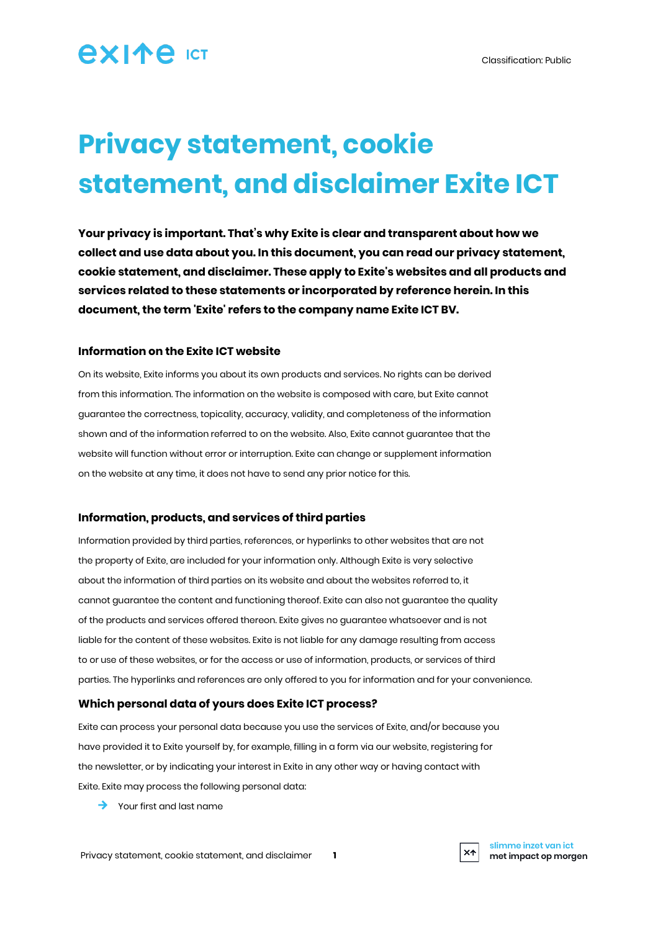## **AXIAA ICT**

# **Privacy statement, cookie statement, and disclaimer Exite ICT**

**Your privacy is important. That's why Exite is clear and transparent about how we collect and use data about you. In this document, you can read our privacy statement, cookie statement, and disclaimer. These apply to Exite's websites and all products and services related to these statements or incorporated by reference herein. In this document, the term 'Exite' refers to the company name Exite ICT BV.**

#### **Information on the Exite ICT website**

On its website, Exite informs you about its own products and services. No rights can be derived from this information. The information on the website is composed with care, but Exite cannot guarantee the correctness, topicality, accuracy, validity, and completeness of the information shown and of the information referred to on the website. Also, Exite cannot guarantee that the website will function without error or interruption. Exite can change or supplement information on the website at any time, it does not have to send any prior notice for this.

#### **Information, products, and services of third parties**

Information provided by third parties, references, or hyperlinks to other websites that are not the property of Exite, are included for your information only. Although Exite is very selective about the information of third parties on its website and about the websites referred to, it cannot guarantee the content and functioning thereof. Exite can also not guarantee the quality of the products and services offered thereon. Exite gives no guarantee whatsoever and is not liable for the content of these websites. Exite is not liable for any damage resulting from access to or use of these websites, or for the access or use of information, products, or services of third parties. The hyperlinks and references are only offered to you for information and for your convenience.

#### **Which personal data of yours does Exite ICT process?**

Exite can process your personal data because you use the services of Exite, and/or because you have provided it to Exite yourself by, for example, filling in a form via our website, registering for the newsletter, or by indicating your interest in Exite in any other way or having contact with Exite. Exite may process the following personal data:

 $\rightarrow$  Your first and last name

 $X<sup>+</sup>$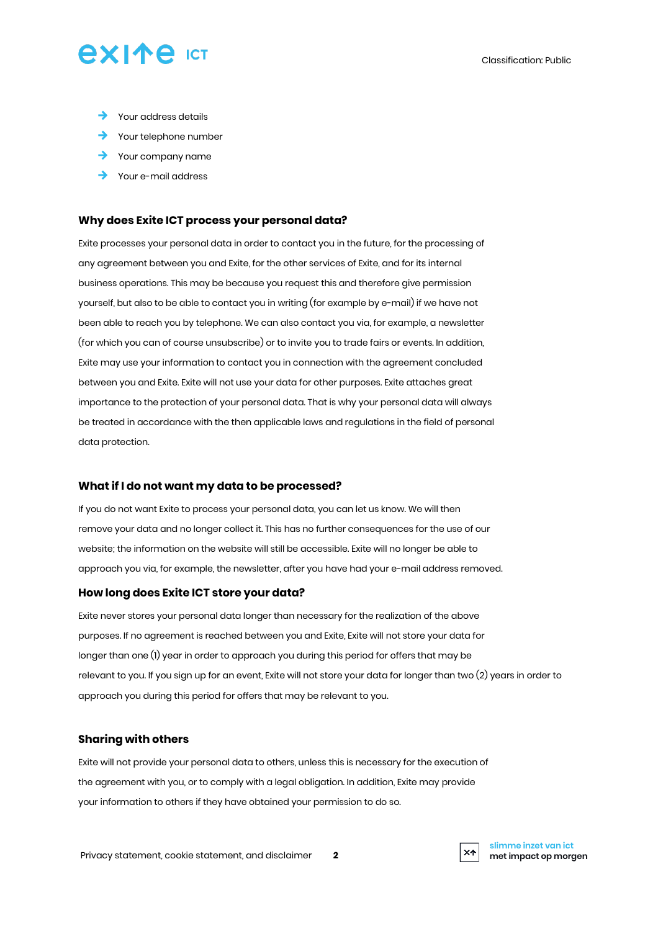## **AXIAA** ICT

- $\rightarrow$  Your address details
- $\rightarrow$  Your telephone number
- $\rightarrow$  Your company name
- $\rightarrow$  Your e-mail address

#### **Why does Exite ICT process your personal data?**

Exite processes your personal data in order to contact you in the future, for the processing of any agreement between you and Exite, for the other services of Exite, and for its internal business operations. This may be because you request this and therefore give permission yourself, but also to be able to contact you in writing (for example by e-mail) if we have not been able to reach you by telephone. We can also contact you via, for example, a newsletter (for which you can of course unsubscribe) or to invite you to trade fairs or events. In addition, Exite may use your information to contact you in connection with the agreement concluded between you and Exite. Exite will not use your data for other purposes. Exite attaches great importance to the protection of your personal data. That is why your personal data will always be treated in accordance with the then applicable laws and regulations in the field of personal data protection.

#### **What if I do not want my data to be processed?**

If you do not want Exite to process your personal data, you can let us know. We will then remove your data and no longer collect it. This has no further consequences for the use of our website; the information on the website will still be accessible. Exite will no longer be able to approach you via, for example, the newsletter, after you have had your e-mail address removed.

#### **How long does Exite ICT store your data?**

Exite never stores your personal data longer than necessary for the realization of the above purposes. If no agreement is reached between you and Exite, Exite will not store your data for longer than one (1) year in order to approach you during this period for offers that may be relevant to you. If you sign up for an event, Exite will not store your data for longer than two (2) years in order to approach you during this period for offers that may be relevant to you.

#### **Sharing with others**

Exite will not provide your personal data to others, unless this is necessary for the execution of the agreement with you, or to comply with a legal obligation. In addition, Exite may provide your information to others if they have obtained your permission to do so.

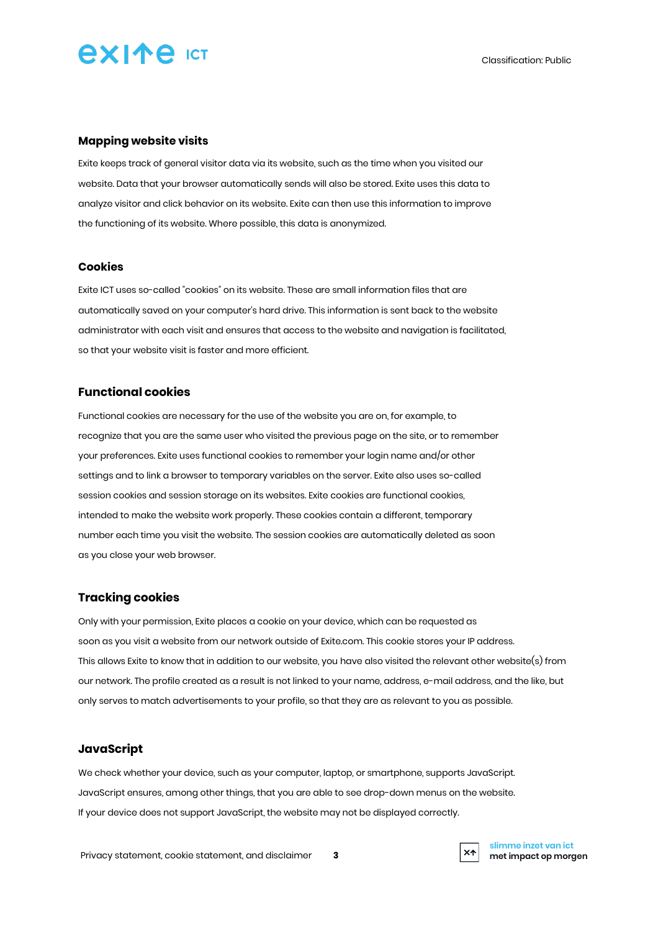# **AXIAA** ICT

#### **Mapping website visits**

Exite keeps track of general visitor data via its website, such as the time when you visited our website. Data that your browser automatically sends will also be stored. Exite uses this data to analyze visitor and click behavior on its website. Exite can then use this information to improve the functioning of its website. Where possible, this data is anonymized.

#### **Cookies**

Exite ICT uses so-called "cookies" on its website. These are small information files that are automatically saved on your computer's hard drive. This information is sent back to the website administrator with each visit and ensures that access to the website and navigation is facilitated, so that your website visit is faster and more efficient.

#### **Functional cookies**

Functional cookies are necessary for the use of the website you are on, for example, to recognize that you are the same user who visited the previous page on the site, or to remember your preferences. Exite uses functional cookies to remember your login name and/or other settings and to link a browser to temporary variables on the server. Exite also uses so-called session cookies and session storage on its websites. Exite cookies are functional cookies, intended to make the website work properly. These cookies contain a different, temporary number each time you visit the website. The session cookies are automatically deleted as soon as you close your web browser.

#### **Tracking cookies**

Only with your permission, Exite places a cookie on your device, which can be requested as soon as you visit a website from our network outside of Exite.com. This cookie stores your IP address. This allows Exite to know that in addition to our website, you have also visited the relevant other website(s) from our network. The profile created as a result is not linked to your name, address, e-mail address, and the like, but only serves to match advertisements to your profile, so that they are as relevant to you as possible.

#### **JavaScript**

We check whether your device, such as your computer, laptop, or smartphone, supports JavaScript. JavaScript ensures, among other things, that you are able to see drop-down menus on the website. If your device does not support JavaScript, the website may not be displayed correctly.

Privacy statement, cookie statement, and disclaimer **3**



**slimme inzet van ict met impact op morgen**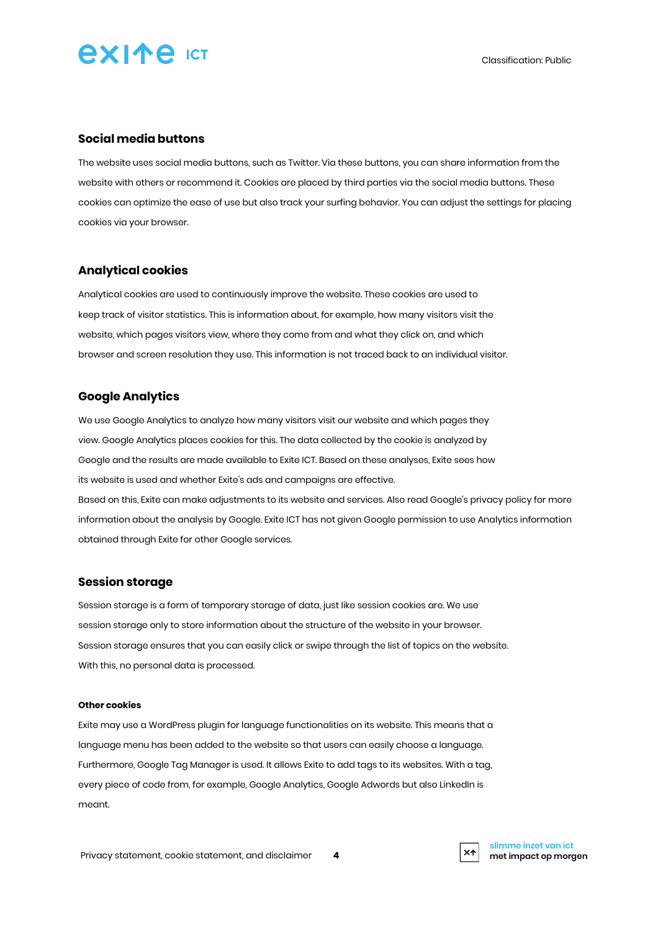

#### **Social media buttons**

The website uses social media buttons, such as Twitter. Via these buttons, you can share information from the website with others or recommend it. Cookies are placed by third parties via the social media buttons. These cookies can optimize the ease of use but also track your surfing behavior. You can adjust the settings for placing cookies via your browser.

#### **Analytical cookies**

Analytical cookies are used to continuously improve the website. These cookies are used to keep track of visitor statistics. This is information about, for example, how many visitors visit the website, which pages visitors view, where they come from and what they click on, and which browser and screen resolution they use. This information is not traced back to an individual visitor.

#### **Google Analytics**

We use Google Analytics to analyze how many visitors visit our website and which pages they view. Google Analytics places cookies for this. The data collected by the cookie is analyzed by Google and the results are made available to Exite ICT. Based on these analyses, Exite sees how its website is used and whether Exite's ads and campaigns are effective. Based on this, Exite can make adjustments to its website and services. Also read Google's privacy policy for more

information about the analysis by Google. Exite ICT has not given Google permission to use Analytics information obtained through Exite for other Google services.

#### **Session storage**

Session storage is a form of temporary storage of data, just like session cookies are. We use session storage only to store information about the structure of the website in your browser. Session storage ensures that you can easily click or swipe through the list of topics on the website. With this, no personal data is processed.

#### **Other cookies**

Exite may use a WordPress plugin for language functionalities on its website. This means that a language menu has been added to the website so that users can easily choose a language. Furthermore, Google Tag Manager is used. It allows Exite to add tags to its websites. With a tag, every piece of code from, for example, Google Analytics, Google Adwords but also LinkedIn is meant.



**slimme inzet van ict met impact op morgen**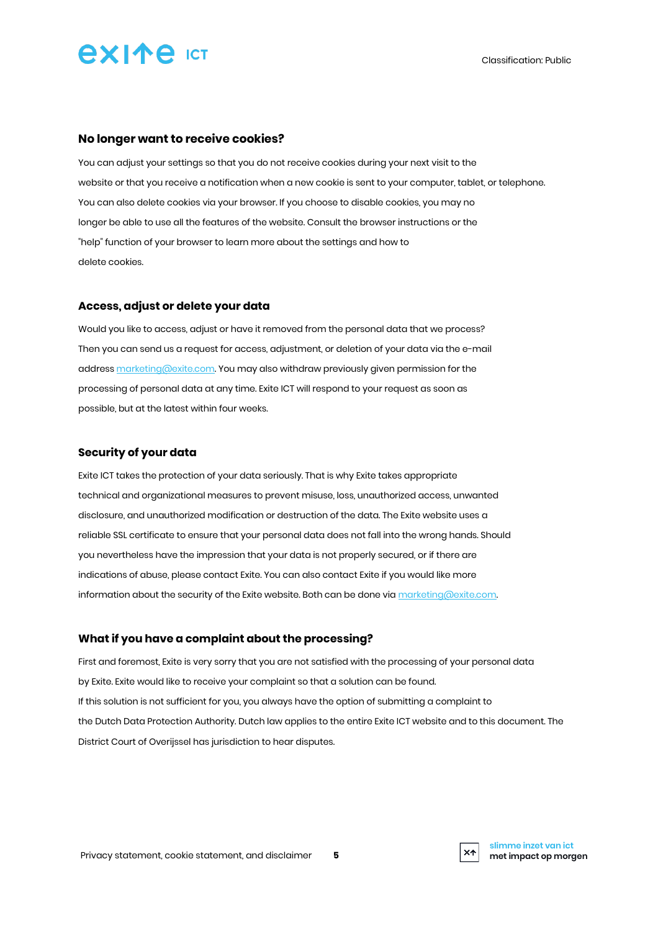

#### **No longer want to receive cookies?**

You can adjust your settings so that you do not receive cookies during your next visit to the website or that you receive a notification when a new cookie is sent to your computer, tablet, or telephone. You can also delete cookies via your browser. If you choose to disable cookies, you may no longer be able to use all the features of the website. Consult the browser instructions or the "help" function of your browser to learn more about the settings and how to delete cookies.

#### **Access, adjust or delete your data**

Would you like to access, adjust or have it removed from the personal data that we process? Then you can send us a request for access, adjustment, or deletion of your data via the e-mail addres[s marketing@exite.com.](mailto:marketing@exite.com) You may also withdraw previously given permission for the processing of personal data at any time. Exite ICT will respond to your request as soon as possible, but at the latest within four weeks.

#### **Security of your data**

Exite ICT takes the protection of your data seriously. That is why Exite takes appropriate technical and organizational measures to prevent misuse, loss, unauthorized access, unwanted disclosure, and unauthorized modification or destruction of the data. The Exite website uses a reliable SSL certificate to ensure that your personal data does not fall into the wrong hands. Should you nevertheless have the impression that your data is not properly secured, or if there are indications of abuse, please contact Exite. You can also contact Exite if you would like more information about the security of the Exite website. Both can be done via [marketing@exite.com.](mailto:marketing@exite.com)

#### **What if you have a complaint about the processing?**

First and foremost, Exite is very sorry that you are not satisfied with the processing of your personal data by Exite. Exite would like to receive your complaint so that a solution can be found. If this solution is not sufficient for you, you always have the option of submitting a complaint to the Dutch Data Protection Authority. Dutch law applies to the entire Exite ICT website and to this document. The District Court of Overijssel has jurisdiction to hear disputes.